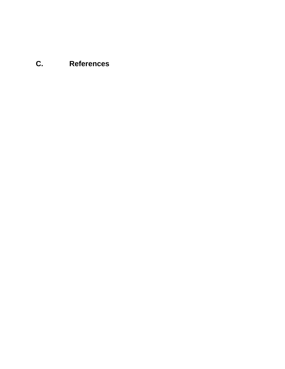## **C. References**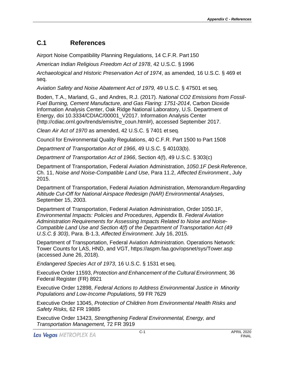## **C.1 References**

Airport Noise Compatibility Planning Regulations, 14 C.F.R. Part 150

*American Indian Religious Freedom Act of 1978*, 42 U.S.C. § 1996

*Archaeological and Historic Preservation Act of 1974*, as amended*,* 16 U.S.C. § 469 et seq.

*Aviation Safety and Noise Abatement Act of 1979,* 49 U.S.C. § 47501 et seq.

Boden, T.A., Marland, G., and Andres, R.J. (2017). *National CO2 Emissions from Fossil-Fuel Burning, Cement Manufacture, and Gas Flaring: 1751-2014*, Carbon Dioxide Information Analysis Center, Oak Ridge National Laboratory, U.S. Department of Energy, doi 10.3334/CDIAC/00001\_V2017. Information Analysis Center (http://cdiac.ornl.gov/trends/emis/tre\_coun.html#), accessed September 2017.

*Clean Air Act of 1970* as amended, 42 U.S.C. § 7401 et seq.

Council for Environmental Quality Regulations, 40 C.F.R. Part 1500 to Part 1508

*Department of Transportation Act of 1966*, 49 U.S.C. § 40103(b).

*Department of Transportation Act of 1966*, Section 4(f), 49 U.S.C. § 303(c)

Department of Transportation, Federal Aviation Administration, *1050.1F Desk Reference*, Ch. 11, *Noise and Noise-Compatible Land Use*, Para 11.2, *Affected Environment*., July 2015.

Department of Transportation, Federal Aviation Administration, *Memorandum Regarding Altitude Cut-Off for National Airspace Redesign (NAR) Environmental Analyses*, September 15, 2003.

Department of Transportation, Federal Aviation Administration, Order 1050.1F, *Environmental Impacts: Policies and Procedures*, Appendix B. *Federal Aviation Administration Requirements for Assessing Impacts Related to Noise and Noise-Compatible Land Use and Section 4(f) of the Department of Transportation Act (49 U.S.C.§ 303)*, Para. B-1.3, *Affected Environment*. July 16, 2015.

Department of Transportation, Federal Aviation Administration. Operations Network: Tower Counts for LAS, HND, and VGT, https://aspm.faa.gov/opsnet/sys/Tower.asp (accessed June 26, 2018).

*Endangered Species Act of 1973*, 16 U.S.C. § 1531 et seq.

Executive Order 11593, *Protection and Enhancement of the Cultural Environment,* 36 Federal Register (FR) 8921

Executive Order 12898, *Federal Actions to Address Environmental Justice in Minority Populations and Low-Income Populations,* 59 FR 7629

Executive Order 13045, *Protection of Children from Environmental Health Risks and Safety Risks,* 62 FR 19885

Executive Order 13423, *Strengthening Federal Environmental, Energy, and Transportation Management,* 72 FR 3919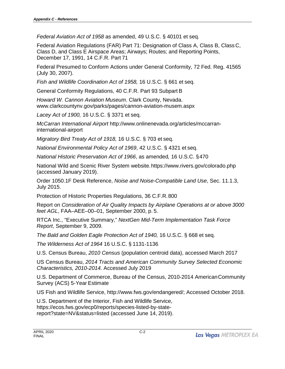*Federal Aviation Act of 1958* as amended, 49 U.S.C. § 40101 et seq.

Federal Aviation Regulations (FAR) Part 71: Designation of Class A, Class B, Class C, Class D, and Class E Airspace Areas; Airways; Routes; and Reporting Points, December 17, 1991, 14 C.F.R. Part 71

Federal Presumed to Conform Actions under General Conformity, 72 Fed. Reg. 41565 (July 30, 2007).

*Fish and Wildlife Coordination Act of 1958,* 16 U.S.C. § 661 et seq.

General Conformity Regulations, 40 C.F.R. Part 93 Subpart B

*Howard W. Cannon Aviation Museum*. Clark County, Nevada. www.clarkcountynv.gov/parks/pages/cannon-aviation-musem.aspx

*Lacey Act of 1900,* 16 U.S.C. § 3371 et seq.

*McCarran International Airport* http://www.onlinenevada.org/articles/mccarraninternational-airport

*Migratory Bird Treaty Act of 1918,* 16 U.S.C. § 703 et seq.

*National Environmental Policy Act of 1969*, 42 U.S.C. § 4321 et seq.

*National Historic Preservation Act of 1966*, as amended*,* 16 U.S.C. §470

National Wild and Scenic River System website[.https://www.river](http://www.rivers.gov/colorado.php)s.go[v/colorado.php](http://www.rivers.gov/colorado.php) (accessed January 2019).

Order 1050.1F Desk Reference, *Noise and Noise-Compatible Land Use*, Sec. 11.1.3, July 2015.

Protection of Historic Properties Regulations, 36 C.F.R.800

Report on *Consideration of Air Quality Impacts by Airplane Operations at or above 3000 feet AGL*, FAA–AEE–00–01, September 2000, p. 5.

RTCA Inc., "Executive Summary," *NextGen Mid-Term Implementation Task Force Report*, September 9, 2009.

*The Bald and Golden Eagle Protection Act of 1940, 16 U.S.C. § 668 et seq.* 

*The Wilderness Act of 1964* 16 U.S.C. § 1131-1136

U.S. Census Bureau, *2010 Census* (population centroid data), accessed March 2017

US Census Bureau, *2014 Tracts and American Community Survey Selected Economic Characteristics, 2010-2014.* Accessed July 2019

U.S. Department of Commerce, Bureau of the Census, 2010-2014 AmericanCommunity Survey (ACS) 5-Year Estimate

US Fish and Wildlife Service, http://www.fws.gov/endangered/; Accessed October 2018.

U.S. Department of the Interior, Fish and Wildlife Service, https://ecos.fws.gov/ecp0/reports/species-listed-by-statereport?state=NV&status=listed (accessed June 14, 2019).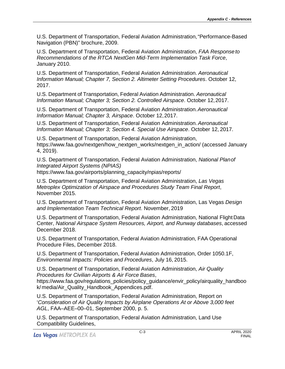U.S. Department of Transportation, Federal Aviation Administration,"Performance-Based Navigation (PBN)" brochure, 2009.

U.S. Department of Transportation, Federal Aviation Administration, *FAA Response to Recommendations of the RTCA NextGen Mid-Term Implementation Task Force*, January 2010.

U.S. Department of Transportation, Federal Aviation Administration. *Aeronautical Information Manual; Chapter 7, Section 2. Altimeter Setting Procedures*. October 12, 2017.

U.S. Department of Transportation, Federal Aviation Administration. *Aeronautical Information Manual; Chapter 3; Section 2. Controlled Airspace*. October 12,2017.

U.S. Department of Transportation, Federal Aviation Administration.*Aeronautical Information Manual; Chapter 3, Airspace*. October 12,2017.

U.S. Department of Transportation, Federal Aviation Administration.*Aeronautical Information Manual; Chapter 3; Section 4. Special Use Airspace*. O[ctober 12,](http://www.faa.gov/nextgen/how_nextgen_works/nextgen_in_action/) 2017.

U.S. Department of Transportation, Federal Aviation Administration, [https://www.faa.gov/nextgen/how\\_nextgen\\_works/nextgen\\_in\\_action/](http://www.faa.gov/nextgen/how_nextgen_works/nextgen_in_action/) (accessed January 4, 2019).

U.S. Department of Transportation, Federal Aviation Administration, *National Planof Integrated Airport Systems (NPIAS)* 

[https://www.faa.gov/airports/planning\\_capacity/npias/reports/](http://www.faa.gov/airports/planning_capacity/npias/reports/)

U.S. Department of Transportation, Federal Aviation Administration, *Las Vegas Metroplex Optimization of Airspace and Procedures Study Team Final Report*, November 2015.

U.S. Department of Transportation, Federal Aviation Administration, Las Vegas *Design and Implementation Team Technical Report*. November, 2019

U.S. Department of Transportation, Federal Aviation Administration, National FlightData Center, *National Airspace System Resources, Airport, and Runway databases*, accessed December 2018.

U.S. Department of Transportation, Federal Aviation Administration, FAA Operational Procedure Files, December 2018.

U.S. Department of Transportation, Federal Aviation Administration, Order 1050.1F, *Environmental Impacts: Policies and Procedures*, July 16, 2015.

U.S. Department of Transportation, Federal Aviation Administration, *Air Quality Procedures for Civilian Airports & Air Force Bases*,

[https://www.faa.gov/regulations\\_policies/policy\\_guida](http://www.faa.gov/regulations_policies/policy_guidance/envir_policy/airquality_handbook/)nce[/envir\\_policy/airquality\\_handboo](http://www.faa.gov/regulations_policies/policy_guidance/envir_policy/airquality_handbook/) [k/](http://www.faa.gov/regulations_policies/policy_guidance/envir_policy/airquality_handbook/) media/Air\_Quality\_Handbook\_Appendices.pdf.

U.S. Department of Transportation, Federal Aviation Administration, Report on '*Consideration of Air Quality Impacts by Airplane Operations At or Above 3,000 feet AGL*, FAA–AEE–00–01, September 2000, p. 5.

U.S. Department of Transportation, Federal Aviation Administration, Land Use Compatibility Guidelines,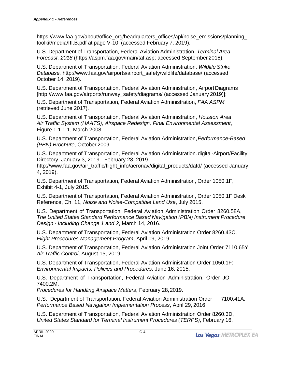[https://www.faa.gov/about/office\\_org/headquarters\\_offices/apl/no](http://www.faa.gov/about/office_org/headquarters_offices/apl/noise_emissions/planning_to)ise\_[emissions/planning\\_](http://www.faa.gov/about/office_org/headquarters_offices/apl/noise_emissions/planning_to) [too](http://www.faa.gov/about/office_org/headquarters_offices/apl/noise_emissions/planning_to)lkit/media/III.B.pdf at page V-10, (accessed February 7, 2019).

U.S. Department of Transportation, Federal Aviation Administration, *Terminal Area Forecast, 2018* (https://aspm.faa.gov/main/taf.asp; accessed September 2018).

U.S. Department of Transportation, Federal Aviation Administration, *Wildlife Strike Database,* [http://www.faa.gov/airports/airport\\_safety/wildlife/database/](http://www.faa.gov/airports/airport_safety/wildlife/database/) (accessed October 14, 2019).

U.S. Department of Transportation, Federal Aviation Administration, AirportDiagram[s](http://www.faa.gov/airports/runway_safety/diagrams/) [\[http://www.faa.gov/airports/runway\\_safety/diagrams/](http://www.faa.gov/airports/runway_safety/diagrams/) (accessed January 2019)];

U.S. Department of Transportation, Federal Aviation Administration, *FAA ASPM* (retrieved June 2017).

U.S. Department of Transportation, Federal Aviation Administration, *Houston Area Air Traffic System (HAATS), Airspace Redesign, Final Environmental Assessment*, Figure 1.1.1-1, March 2008.

U.S. Department of Transportation, Federal Aviation Administration,*Performance-Based (PBN) Brochure*, October 2009.

U.S. Department of Transportation, Federal Aviation Administration. digital-Airport/Facility Directory. January 3, 2019 - February 28, 2019

[http://www.faa.gov/air\\_traffic/flight\\_info/aeronav/digital\\_products/dafd/](http://www.faa.gov/air_traffic/flight_info/aeronav/digital_products/dafd/) (accessed January 4, 2019).

U.S. Department of Transportation, Federal Aviation Administration, Order 1050.1F, Exhibit 4-1, July 2015.

U.S. Department of Transportation, Federal Aviation Administration, Order 1050.1F Desk Reference, Ch. 11, *Noise and Noise-Compatible Land Use*, July 2015.

U.S. Department of Transportation, Federal Aviation Administration Order 8260.58A, *The United States Standard Performance Based Navigation (PBN) Instrument Procedure Design - Including Change 1 and 2*, March 14, 2016.

U.S. Department of Transportation, Federal Aviation Administration Order 8260.43C, *Flight Procedures Management Program*, April 09, 2019.

U.S. Department of Transportation, Federal Aviation Administration Joint Order 7110.65Y, *Air Traffic Control*, August 15, 2019.

U.S. Department of Transportation, Federal Aviation Administration Order 1050.1F: *Environmental Impacts: Policies and Procedures*, June 16, 2015.

U.S. Department of Transportation, Federal Aviation Administration, Order JO 7400.2M,

*Procedures for Handling Airspace Matters*, February 28,2019.

U.S. Department of Transportation, Federal Aviation Administration Order 7100.41A, *Performance Based Navigation Implementation Process*, April 29, 2016.

U.S. Department of Transportation, Federal Aviation Administration Order 8260.3D, *United States Standard for Terminal Instrument Procedures (TERPS)*, February 16,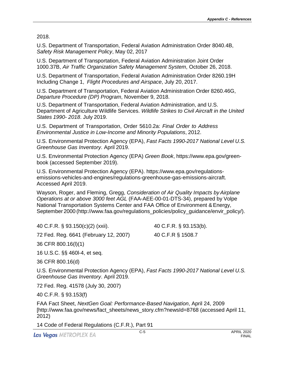2018.

U.S. Department of Transportation, Federal Aviation Administration Order 8040.4B, *Safety Risk Management Policy*, May 02, 2017

U.S. Department of Transportation, Federal Aviation Administration Joint Order 1000.37B, *Air Traffic Organization Safety Management System*, October 26, 2018.

U.S. Department of Transportation, Federal Aviation Administration Order 8260.19H Including Change 1, *Flight Procedures and Airspace*, July 20, 2017.

U.S. Department of Transportation, Federal Aviation Administration Order 8260.46G, *Departure Procedure (DP) Program*, November 9, 2018.

U.S. Department of Transportation, Federal Aviation Administration, and U.S. Department of Agriculture Wildlife Services. *Wildlife Strikes to Civil Aircraft in the United States 1990- 2018*. July 2019.

U.S. Department of Transportation, Order 5610.2a: *Final Order to Address Environmental Justice in Low-Income and Minority Populations*, 2012.

U.S. Environmental Protection Agency (EPA), *Fast Facts 1990-2017 National Level U.S. Greenhouse Gas Inventory*. April 2019.

U.S. Environmental Protection Agency (EPA) *Green Book*, [https://www.epa](http://www.epa.gov/green-book).go[v/green](http://www.epa.gov/green-book)[book](http://www.epa.gov/green-book) (accessed September 2019).

U.S. Environmental Protection Agency (EPA). https://www.epa.gov/regulationsemissions-vehicles-and-engines/regulations-greenhouse-gas-emissions-aircraft. Accessed April 2019.

Wayson, Roger, and Fleming, Gregg, *Consideration of Air Quality Impacts by Airplane Operations at or above 3000 feet AGL* (FAA-AEE-00-01-DTS-34), prepared by Volpe National Transportation Systems Center and FAA Office of Environment & Energy, September 2000 [\(http://www.faa.gov/regulations\\_policies/policy\\_guidance/envir\\_policy/\).](http://www.faa.gov/regulations_policies/policy_guidance/envir_policy/))

40 C.F.R. § 93.150(c)(2) (xxii).

40 C.F.R. § 93.153(b).

72 Fed. Reg. 6641 (February 12, 2007)

40 C.F.R § 1508.7

36 CFR 800.16(l)(1)

16 U.S.C. §§ 460l-4, et seq.

36 CFR 800.16(d)

U.S. Environmental Protection Agency (EPA), *Fast Facts 1990-2017 National Level U.S. Greenhouse Gas Inventory*. April 2019.

72 Fed. Reg. 41578 (July 30, 2007)

40 C.F.R. § 93.153(f)

FAA Fact Sheet, *NextGen Goal: Performance-Based Navigation*, April 24, 2009 [http://www.faa.gov/news/fact\_sheets/news\_story.cfm?newsId=8768 (accessed April 11, 2012)

14 Code of Federal Regulations (C.F.R.), Part 91